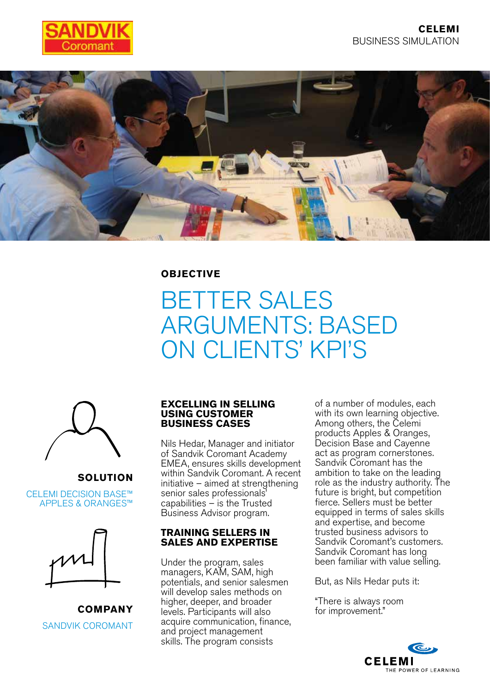



**OBJECTIVE**

# BETTER SALES ARGUMENTS: BASED ON CLIENTS' KPI'S



**SOLUTION** CELEMI DECISION BASE™ APPLES & ORANGES™



**COMPANY** SANDVIK COROMANT

## **EXCELLING IN SELLING USING CUSTOMER BUSINESS CASES**

Nils Hedar, Manager and initiator of Sandvik Coromant Academy EMEA, ensures skills development within Sandvik Coromant. A recent initiative – aimed at strengthening senior sales professionals' capabilities  $-$  is the Trusted Business Advisor program.

### **TRAINING SELLERS IN SALES AND EXPERTISE**

Under the program, sales managers, KAM, SAM, high potentials, and senior salesmen will develop sales methods on higher, deeper, and broader levels. Participants will also acquire communication, finance, and project management skills. The program consists

of a number of modules, each with its own learning objective. Among others, the Celemi products Apples & Oranges, Decision Base and Cayenne act as program cornerstones. Sandvik Coromant has the ambition to take on the leading role as the industry authority. The future is bright, but competition fierce. Sellers must be better equipped in terms of sales skills and expertise, and become trusted business advisors to Sandvik Coromant's customers. Sandvik Coromant has long been familiar with value selling.

But, as Nils Hedar puts it:

"There is always room for improvement."